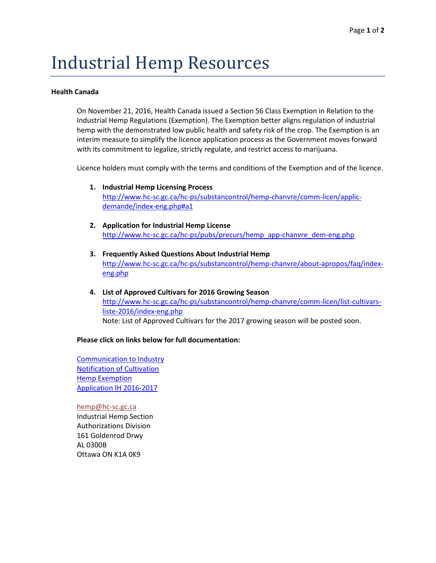# Industrial Hemp Resources

# **Health Canada**

On November 21, 2016, Health Canada issued a Section 56 Class Exemption in Relation to the Industrial Hemp Regulations (Exemption). The Exemption better aligns regulation of industrial hemp with the demonstrated low public health and safety risk of the crop. The Exemption is an interim measure to simplify the licence application process as the Government moves forward with its commitment to legalize, strictly regulate, and restrict access to marijuana.

Licence holders must comply with the terms and conditions of the Exemption and of the licence.

- **1. Industrial Hemp Licensing Process** [http://www.hc-sc.gc.ca/hc-ps/substancontrol/hemp-chanvre/comm-licen/applic](http://www.hc-sc.gc.ca/hc-ps/substancontrol/hemp-chanvre/comm-licen/applic-demande/index-eng.php%23a1)[demande/index-eng.php#a1](http://www.hc-sc.gc.ca/hc-ps/substancontrol/hemp-chanvre/comm-licen/applic-demande/index-eng.php%23a1)
- **2. Application for Industrial Hemp License** [http://www.hc-sc.gc.ca/hc-ps/pubs/precurs/hemp\\_app-chanvre\\_dem-eng.php](http://www.hc-sc.gc.ca/hc-ps/pubs/precurs/hemp_app-chanvre_dem-eng.php)
- **3. Frequently Asked Questions About Industrial Hemp** [http://www.hc-sc.gc.ca/hc-ps/substancontrol/hemp-chanvre/about-apropos/faq/index](http://www.hc-sc.gc.ca/hc-ps/substancontrol/hemp-chanvre/about-apropos/faq/index-eng.php)[eng.php](http://www.hc-sc.gc.ca/hc-ps/substancontrol/hemp-chanvre/about-apropos/faq/index-eng.php)
- **4. List of Approved Cultivars for 2016 Growing Season**  [http://www.hc-sc.gc.ca/hc-ps/substancontrol/hemp-chanvre/comm-licen/list-cultivars](http://www.hc-sc.gc.ca/hc-ps/substancontrol/hemp-chanvre/comm-licen/list-cultivars-liste-2016/index-eng.php)[liste-2016/index-eng.php](http://www.hc-sc.gc.ca/hc-ps/substancontrol/hemp-chanvre/comm-licen/list-cultivars-liste-2016/index-eng.php) Note: List of Approved Cultivars for the 2017 growing season will be posted soon.

# **Please click on links below for full documentation:**

[Communication to Industry](http://r20.rs6.net/tn.jsp?f=001X2MYDpG3AzcvthZ2o-DL7OE876qfqiTJ7MiR9jAI2Iqyv1np6h_FepqTCtMSOjhcz0k342WeMuTVvuEWSS1cUeKXU5bKY5543Uiwl1IT-E2DmPzdZAx202XCYRph9WYZ7X0cC4zMVAhgnGLiDkIF8mMCKfKch67tqK8viAC_ZxPvbuwyDiLFl3loY61QaMEas0BbSjvKrwWzADZ8E1k4q5wdPjLOoJ8Fae67s-JLgcj4Y4VlgEU2eMpO9JZgjn2-&c=zbpptE9DTg4DpOF3dOcnjx0v2x6VEsAvDscC2gxiOBqeulH2jP6Xeg==&ch=qHzSMEihDvS6oXsEopJ1gfNCCk2TK2u2sXm6lnnFxd22TIVuaNt_Dw==) [Notification of Cultivation](http://r20.rs6.net/tn.jsp?f=001X2MYDpG3AzcvthZ2o-DL7OE876qfqiTJ7MiR9jAI2Iqyv1np6h_FepqTCtMSOjhceD7FTx7ta_s04MWar6CdHTl0OYMQKxMLWTGQ1lrUGybzk_ZMLrGxVraHH184tr0uwLEpivnK0N6JeQdkjQPeqB9bZGqJ_sb1NOwrg2SluvYN-vgbRtgJWAZFRYoqHmeQctNvrXkw6WUhbXBPBOlM6B9nytMcDXWIaqvcm6Rd2bM4YLk5mKvuLROWgiS-8K3r&c=zbpptE9DTg4DpOF3dOcnjx0v2x6VEsAvDscC2gxiOBqeulH2jP6Xeg==&ch=qHzSMEihDvS6oXsEopJ1gfNCCk2TK2u2sXm6lnnFxd22TIVuaNt_Dw==) [Hemp Exemption](http://r20.rs6.net/tn.jsp?f=001X2MYDpG3AzcvthZ2o-DL7OE876qfqiTJ7MiR9jAI2Iqyv1np6h_FepqTCtMSOjhcD8wyDa0AwLor4kJVXFnPQPWvI3WxZflZnIVLtit8OnPjsyIoD9POGRTJxZQ06WcSseOntzpP-vQbWZAL68A0wwVTk8-8Ug1wcez4VQ5EvKDtIn9Sd965R1FqgSc9bIqhqb7nhYnbSXLda3eIUShSceAzOy7jnEj3x15G3McMxLPxzXoibwiTFyUxq5PD3bIy&c=zbpptE9DTg4DpOF3dOcnjx0v2x6VEsAvDscC2gxiOBqeulH2jP6Xeg==&ch=qHzSMEihDvS6oXsEopJ1gfNCCk2TK2u2sXm6lnnFxd22TIVuaNt_Dw==) [Application IH 2016-2017](http://r20.rs6.net/tn.jsp?f=001X2MYDpG3AzcvthZ2o-DL7OE876qfqiTJ7MiR9jAI2Iqyv1np6h_FepqTCtMSOjhcsNCxN_F-jpjWPK8IKbEedloMc3DZ3yDdcnks0mANteqs5PZ45qvT4d2AVmf6aaaGVLtkhISMNUWR6K7rXwyfnXVuEuRisZI7FPGErCqJ95lsYOUL7tEuBRoa_qbVbDszDuD7ANFSvIVWlwdo1_f5bxEJKZ_QGFS3vY3imkm2UlDa-XWnMAhb1PZJyTK9dMqp&c=zbpptE9DTg4DpOF3dOcnjx0v2x6VEsAvDscC2gxiOBqeulH2jP6Xeg==&ch=qHzSMEihDvS6oXsEopJ1gfNCCk2TK2u2sXm6lnnFxd22TIVuaNt_Dw==)

[hemp@hc-sc.gc.ca](mailto:hemp@hc-sc.gc.ca) Industrial Hemp Section Authorizations Division 161 Goldenrod Drwy AL 0300B Ottawa ON K1A 0K9